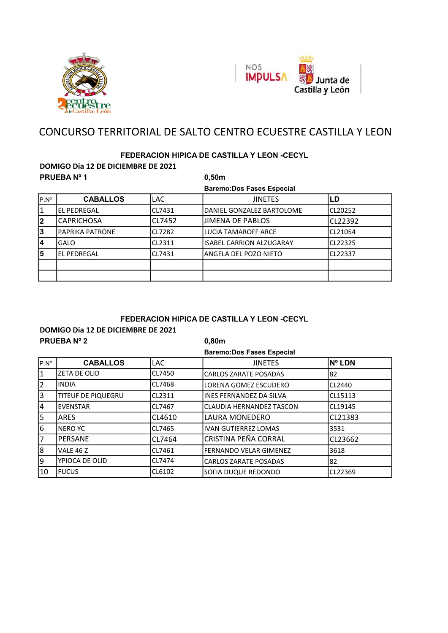



# CONCURSO TERRITORIAL DE SALTO CENTRO ECUESTRE CASTILLA Y LEON

### FEDERACION HIPICA DE CASTILLA Y LEON -CECYL

DOMIGO Dia 12 DE DICIEMBRE DE 2021 PRUEBA Nº 1 0.50m

|               |                    |            | <b>Baremo:Dos Fases Especial</b> |         |
|---------------|--------------------|------------|----------------------------------|---------|
| $P.N^{\circ}$ | <b>CABALLOS</b>    | <b>LAC</b> | <b>JINETES</b>                   | LD      |
| $\vert$ 1     | lel Pedregal       | CL7431     | DANIEL GONZALEZ BARTOLOME        | CL20252 |
| 2             | <b>CAPRICHOSA</b>  | CL7452     | JIMENA DE PABLOS                 | CL22392 |
| 3             | IPAPRIKA PATRONE   | CL7282     | LUCIA TAMAROFF ARCE              | CL21054 |
| 4             | <b>GALO</b>        | CL2311     | <b>ISABEL CARRION ALZUGARAY</b>  | CL22325 |
| 5             | <b>EL PEDREGAL</b> | CL7431     | ANGELA DEL POZO NIETO            | CL22337 |
|               |                    |            |                                  |         |
|               |                    |            |                                  |         |

#### FEDERACION HIPICA DE CASTILLA Y LEON -CECYL

DOMIGO Dia 12 DE DICIEMBRE DE 2021

PRUEBA Nº 2 0,80m

|                |                           |            | <b>Baremo:Dos Fases Especial</b> |               |
|----------------|---------------------------|------------|----------------------------------|---------------|
| $P.N^o$        | <b>CABALLOS</b>           | <b>LAC</b> | <b>JINETES</b>                   | <b>Nº LDN</b> |
| 1              | IZETA DE OLID             | CL7450     | <b>CARLOS ZARATE POSADAS</b>     | 82            |
| $\overline{2}$ | IINDIA                    | CL7468     | LORENA GOMEZ ESCUDERO            | CL2440        |
| 3              | <b>TITEUF DE PIQUEGRU</b> | CL2311     | lINES FERNANDEZ DA SILVA         | CL15113       |
| $\overline{4}$ | levenstar                 | CL7467     | CLAUDIA HERNANDEZ TASCON         | CL19145       |
| 5              | IARES                     | CL4610     | LAURA MONEDERO                   | CL21383       |
| 6              | INERO YC                  | CL7465     | <b>IVAN GUTIERREZ LOMAS</b>      | 3531          |
| 7              | PERSANE                   | CL7464     | CRISTINA PEÑA CORRAL             | CL23662       |
| 8              | VALE 46 Z                 | CL7461     | <b>FERNANDO VELAR GIMENEZ</b>    | 3618          |
| 9              | YPIOCA DE OLID            | CL7474     | <b>CARLOS ZARATE POSADAS</b>     | 82            |
| 10             | <b>IFUCUS</b>             | CL6102     | SOFIA DUQUE REDONDO              | CL22369       |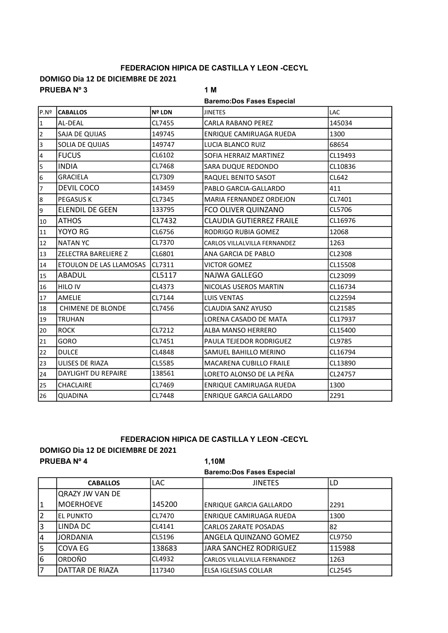#### FEDERACION HIPICA DE CASTILLA Y LEON -CECYL

#### DOMIGO Dia 12 DE DICIEMBRE DE 2021 PRUEBA Nº 3 1 M

#### Baremo:Dos Fases Especial

| P.N <sup>9</sup>        | <b>CABALLOS</b>             | Nº LDN | <b>JINETES</b>                  | <b>LAC</b> |
|-------------------------|-----------------------------|--------|---------------------------------|------------|
| 1                       | AL-DEAL                     | CL7455 | <b>CARLA RABANO PEREZ</b>       | 145034     |
| $\overline{2}$          | SAJA DE QUIJAS              | 149745 | ENRIQUE CAMIRUAGA RUEDA         | 1300       |
| $\overline{\mathbf{3}}$ | SOLIA DE QUIJAS             | 149747 | LUCIA BLANCO RUIZ               | 68654      |
| $\overline{\mathbf{4}}$ | <b>FUCUS</b>                | CL6102 | SOFIA HERRAIZ MARTINEZ          | CL19493    |
| 5                       | <b>INDIA</b>                | CL7468 | SARA DUQUE REDONDO              | CL10836    |
| 6                       | <b>GRACIELA</b>             | CL7309 | RAQUEL BENITO SASOT             | CL642      |
| $\overline{7}$          | DEVIL COCO                  | 143459 | PABLO GARCIA-GALLARDO           | 411        |
| 8                       | <b>PEGASUS K</b>            | CL7345 | <b>MARIA FERNANDEZ ORDEJON</b>  | CL7401     |
| $\overline{9}$          | <b>ELENDIL DE GEEN</b>      | 133795 | FCO OLIVER QUINZANO             | CL5706     |
| 10                      | <b>ATHOS</b>                | CL7432 | <b>CLAUDIA GUTIERREZ FRAILE</b> | CL16976    |
| 11                      | YOYO RG                     | CL6756 | RODRIGO RUBIA GOMEZ             | 12068      |
| 12                      | <b>NATAN YC</b>             | CL7370 | CARLOS VILLALVILLA FERNANDEZ    | 1263       |
| 13                      | <b>ZELECTRA BARELIERE Z</b> | CL6801 | ANA GARCIA DE PABLO             | CL2308     |
| 14                      | ETOULON DE LAS LLAMOSAS     | CL7311 | <b>VICTOR GOMEZ</b>             | CL15508    |
| 15                      | ABADUL                      | CL5117 | NAJWA GALLEGO                   | CL23099    |
| 16                      | HILO IV                     | CL4373 | NICOLAS USEROS MARTIN           | CL16734    |
| 17                      | AMELIE                      | CL7144 | <b>LUIS VENTAS</b>              | CL22594    |
| 18                      | <b>CHIMENE DE BLONDE</b>    | CL7456 | <b>CLAUDIA SANZ AYUSO</b>       | CL21585    |
| 19                      | <b>TRUHAN</b>               |        | LORENA CASADO DE MATA           | CL17937    |
| 20                      | <b>ROCK</b>                 | CL7212 | ALBA MANSO HERRERO              | CL15400    |
| 21                      | GORO                        | CL7451 | PAULA TEJEDOR RODRIGUEZ         | CL9785     |
| 22                      | <b>DULCE</b>                | CL4848 | SAMUEL BAHILLO MERINO           | CL16794    |
| 23                      | <b>ULISES DE RIAZA</b>      | CL5585 | <b>MACARENA CUBILLO FRAILE</b>  | CL13890    |
| 24                      | <b>DAYLIGHT DU REPAIRE</b>  | 138561 | LORETO ALONSO DE LA PEÑA        | CL24757    |
| 25                      | <b>CHACLAIRE</b>            | CL7469 | ENRIQUE CAMIRUAGA RUEDA         | 1300       |
| 26                      | <b>QUADINA</b>              | CL7448 | <b>ENRIQUE GARCIA GALLARDO</b>  | 2291       |

#### FEDERACION HIPICA DE CASTILLA Y LEON -CECYL

#### DOMIGO Dia 12 DE DICIEMBRE DE 2021 PRUEBA Nº 4 1,10M

Baremo:Dos Fases Especial

|    | Barellio.Dos i ases Especial |            |                                     |               |
|----|------------------------------|------------|-------------------------------------|---------------|
|    | <b>CABALLOS</b>              | <b>LAC</b> | <b>JINETES</b>                      | ILD           |
|    | QRAZY JW VAN DE              |            |                                     |               |
|    | <b>MOERHOEVE</b>             | 145200     | <b>ENRIQUE GARCIA GALLARDO</b>      | 2291          |
|    | IEL PUNKTO                   | CL7470     | ENRIQUE CAMIRUAGA RUEDA             | 1300          |
| 3  | LINDA DC                     | CL4141     | <b>CARLOS ZARATE POSADAS</b>        | 182           |
| 4  | <b>JORDANIA</b>              | CL5196     | ANGELA QUINZANO GOMEZ               | ICL9750       |
| '5 | COVA EG                      | 138683     | JARA SANCHEZ RODRIGUEZ              | 115988        |
| 6  | ORDOÑO                       | CL4932     | <b>CARLOS VILLALVILLA FERNANDEZ</b> | 1263          |
| 7  | DATTAR DE RIAZA              | 117340     | IELSA IGLESIAS COLLAR               | <b>CL2545</b> |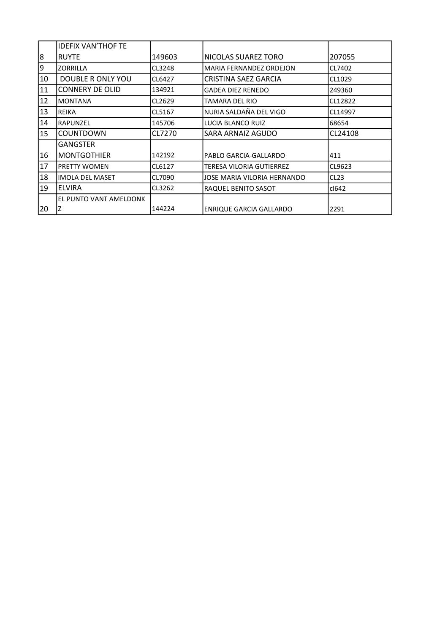|    | IIDEFIX VAN'THOF TE    |        |                                |         |
|----|------------------------|--------|--------------------------------|---------|
| 8  | <b>RUYTE</b>           | 149603 | NICOLAS SUAREZ TORO            | 207055  |
| 9  | <b>ZORRILLA</b>        | CL3248 | <b>MARIA FERNANDEZ ORDEJON</b> | CL7402  |
| 10 | DOUBLE R ONLY YOU      | CL6427 | CRISTINA SAEZ GARCIA           | CL1029  |
| 11 | <b>CONNERY DE OLID</b> | 134921 | <b>GADEA DIEZ RENEDO</b>       | 249360  |
| 12 | IMONTANA               | CL2629 | <b>TAMARA DEL RIO</b>          | CL12822 |
| 13 | IREIKA                 | CL5167 | NURIA SALDAÑA DEL VIGO         | CL14997 |
| 14 | IRAPUNZEL              | 145706 | LUCIA BLANCO RUIZ              | 68654   |
| 15 | ICOUNTDOWN             | CL7270 | SARA ARNAIZ AGUDO              | CL24108 |
|    | <b>GANGSTER</b>        |        |                                |         |
| 16 | IMONTGOTHIER           | 142192 | PABLO GARCIA-GALLARDO          | 411     |
| 17 | IPRETTY WOMEN          | CL6127 | TERESA VILORIA GUTIERREZ       | CL9623  |
| 18 | lIMOLA DEL MASET       | CL7090 | JOSE MARIA VILORIA HERNANDO    | CL23    |
| 19 | <b>ELVIRA</b>          | CL3262 | RAQUEL BENITO SASOT            | cl642   |
|    | EL PUNTO VANT AMELDONK |        |                                |         |
| 20 | ΙZ                     | 144224 | ENRIQUE GARCIA GALLARDO        | 2291    |